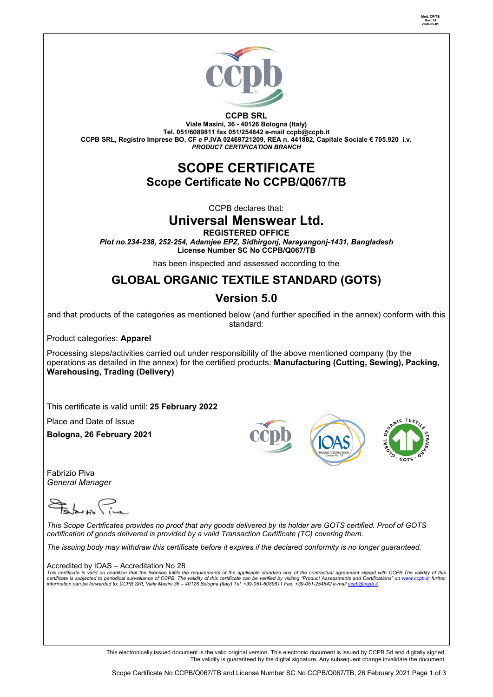

**Mod. CP/TB Rev. 14 2020-05-01**

**CCPB SRL Viale Masini, 36 - 40126 Bologna (Italy) Tel. 051/6089811 fax 051/254842 e-mail [ccpb@ccpb.it](mailto:ccpb@ccpb.it) CCPB SRL, Registro Imprese BO, CF e P.IVA 02469721209, REA n. 441882, Capitale Sociale € 705.920 i.v.** *PRODUCT CERTIFICATION BRANCH*

## **SCOPE CERTIFICATE Scope Certificate No CCPB/Q067/TB**

CCPB declares that:

## **Universal Menswear Ltd.**

**REGISTERED OFFICE**

*Plot no.234-238, 252-254, Adamjee EPZ, Sidhirgonj, Narayangonj-1431, Bangladesh* **License Number SC No CCPB/Q067/TB**

has been inspected and assessed according to the

# **GLOBAL ORGANIC TEXTILE STANDARD (GOTS)**

## **Version 5.0**

and that products of the categories as mentioned below (and further specified in the annex) conform with this standard:

Product categories: **Apparel**

Processing steps/activities carried out under responsibility of the above mentioned company (by the operations as detailed in the annex) for the certified products: **Manufacturing (Cutting, Sewing), Packing, Warehousing, Trading (Delivery)**

This certificate is valid until: **25 February 2022**

Place and Date of Issue

**Bologna, 26 February 2021**

Fabrizio Piva *General Manager* 

*This Scope Certificates provides no proof that any goods delivered by its holder are GOTS certified. Proof of GOTS certification of goods delivered is provided by a valid Transaction Certificate (TC) covering them.*

*The issuing body may withdraw this certificate before it expires if the declared conformity is no longer guaranteed.*

Accredited by IOAS – Accreditation No 28

This certificate is valid on condition that the licensee fulfils the requirements of the applicable standard and of the contractual agreement signed with CCPB.The validity of this<br>certificate is subjected to periodical sur

This electronically issued document is the valid original version. This electronic document is issued by CCPB Srl and digitally signed. The validity is guaranteed by the digital signature. Any subsequent change invalidate the document.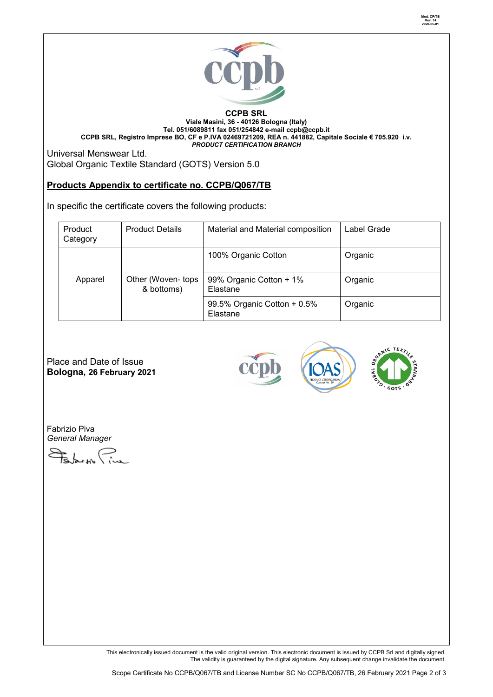

#### **CCPB SRL Viale Masini, 36 - 40126 Bologna (Italy) Tel. 051/6089811 fax 051/254842 e-mail [ccpb@ccpb.it](mailto:ccpb@ccpb.it) CCPB SRL, Registro Imprese BO, CF e P.IVA 02469721209, REA n. 441882, Capitale Sociale € 705.920 i.v.** *PRODUCT CERTIFICATION BRANCH*

Universal Menswear Ltd. Global Organic Textile Standard (GOTS) Version 5.0

### **Products Appendix to certificate no. CCPB/Q067/TB**

In specific the certificate covers the following products:

| Product<br>Category | <b>Product Details</b>          | Material and Material composition       | Label Grade |
|---------------------|---------------------------------|-----------------------------------------|-------------|
|                     |                                 | 100% Organic Cotton                     | Organic     |
| Apparel             | Other (Woven-tops<br>& bottoms) | 99% Organic Cotton + 1%<br>Elastane     | Organic     |
|                     |                                 | 99.5% Organic Cotton + 0.5%<br>Elastane | Organic     |

Place and Date of Issue **Bologna, 26 February 2021**





Fabrizio Piva *General Manager* 

Edwar Pin

This electronically issued document is the valid original version. This electronic document is issued by CCPB Srl and digitally signed. The validity is guaranteed by the digital signature. Any subsequent change invalidate the document.

**Mod. CP/TB Rev. 14 2020-05-01**